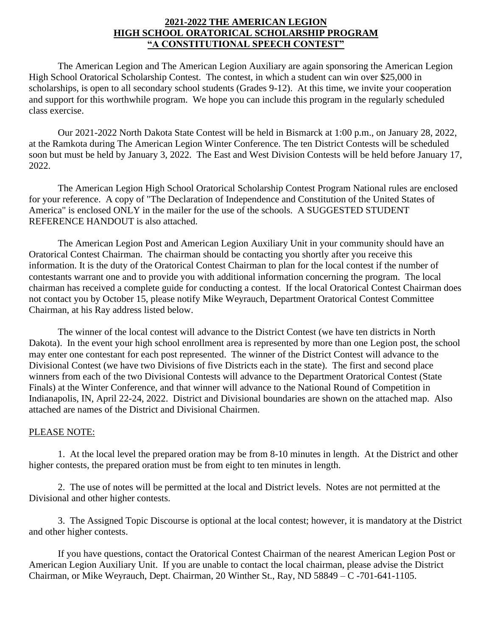# **2021-2022 THE AMERICAN LEGION HIGH SCHOOL ORATORICAL SCHOLARSHIP PROGRAM "A CONSTITUTIONAL SPEECH CONTEST"**

The American Legion and The American Legion Auxiliary are again sponsoring the American Legion High School Oratorical Scholarship Contest. The contest, in which a student can win over \$25,000 in scholarships, is open to all secondary school students (Grades 9-12). At this time, we invite your cooperation and support for this worthwhile program. We hope you can include this program in the regularly scheduled class exercise.

Our 2021-2022 North Dakota State Contest will be held in Bismarck at 1:00 p.m., on January 28, 2022, at the Ramkota during The American Legion Winter Conference. The ten District Contests will be scheduled soon but must be held by January 3, 2022. The East and West Division Contests will be held before January 17, 2022.

The American Legion High School Oratorical Scholarship Contest Program National rules are enclosed for your reference. A copy of "The Declaration of Independence and Constitution of the United States of America" is enclosed ONLY in the mailer for the use of the schools. A SUGGESTED STUDENT REFERENCE HANDOUT is also attached.

The American Legion Post and American Legion Auxiliary Unit in your community should have an Oratorical Contest Chairman. The chairman should be contacting you shortly after you receive this information. It is the duty of the Oratorical Contest Chairman to plan for the local contest if the number of contestants warrant one and to provide you with additional information concerning the program. The local chairman has received a complete guide for conducting a contest. If the local Oratorical Contest Chairman does not contact you by October 15, please notify Mike Weyrauch, Department Oratorical Contest Committee Chairman, at his Ray address listed below.

The winner of the local contest will advance to the District Contest (we have ten districts in North Dakota). In the event your high school enrollment area is represented by more than one Legion post, the school may enter one contestant for each post represented. The winner of the District Contest will advance to the Divisional Contest (we have two Divisions of five Districts each in the state). The first and second place winners from each of the two Divisional Contests will advance to the Department Oratorical Contest (State Finals) at the Winter Conference, and that winner will advance to the National Round of Competition in Indianapolis, IN, April 22-24, 2022. District and Divisional boundaries are shown on the attached map. Also attached are names of the District and Divisional Chairmen.

### PLEASE NOTE:

1. At the local level the prepared oration may be from 8-10 minutes in length. At the District and other higher contests, the prepared oration must be from eight to ten minutes in length.

2. The use of notes will be permitted at the local and District levels. Notes are not permitted at the Divisional and other higher contests.

3. The Assigned Topic Discourse is optional at the local contest; however, it is mandatory at the District and other higher contests.

If you have questions, contact the Oratorical Contest Chairman of the nearest American Legion Post or American Legion Auxiliary Unit. If you are unable to contact the local chairman, please advise the District Chairman, or Mike Weyrauch, Dept. Chairman, 20 Winther St., Ray, ND 58849 – C -701-641-1105.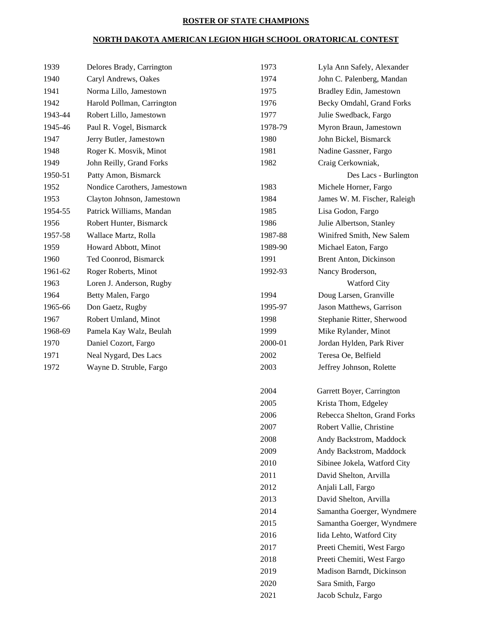# **ROSTER OF STATE CHAMPIONS**

# **NORTH DAKOTA AMERICAN LEGION HIGH SCHOOL ORATORICAL CONTEST**

| 1939    | Delores Brady, Carrington    | 1973    | Lyla Ann Safely, Alexander   |
|---------|------------------------------|---------|------------------------------|
| 1940    | Caryl Andrews, Oakes         | 1974    | John C. Palenberg, Mandan    |
| 1941    | Norma Lillo, Jamestown       | 1975    | Bradley Edin, Jamestown      |
| 1942    | Harold Pollman, Carrington   | 1976    | Becky Omdahl, Grand Forks    |
| 1943-44 | Robert Lillo, Jamestown      | 1977    | Julie Swedback, Fargo        |
| 1945-46 | Paul R. Vogel, Bismarck      | 1978-79 | Myron Braun, Jamestown       |
| 1947    | Jerry Butler, Jamestown      | 1980    | John Bickel, Bismarck        |
| 1948    | Roger K. Mosvik, Minot       | 1981    | Nadine Gassner, Fargo        |
| 1949    | John Reilly, Grand Forks     | 1982    | Craig Cerkowniak,            |
| 1950-51 | Patty Amon, Bismarck         |         | Des Lacs - Burlington        |
| 1952    | Nondice Carothers, Jamestown | 1983    | Michele Horner, Fargo        |
| 1953    | Clayton Johnson, Jamestown   | 1984    | James W. M. Fischer, Raleigh |
| 1954-55 | Patrick Williams, Mandan     | 1985    | Lisa Godon, Fargo            |
| 1956    | Robert Hunter, Bismarck      | 1986    | Julie Albertson, Stanley     |
| 1957-58 | Wallace Martz, Rolla         | 1987-88 | Winifred Smith, New Salem    |
| 1959    | Howard Abbott, Minot         | 1989-90 | Michael Eaton, Fargo         |
| 1960    | Ted Coonrod, Bismarck        | 1991    | Brent Anton, Dickinson       |
| 1961-62 | Roger Roberts, Minot         | 1992-93 | Nancy Broderson,             |
| 1963    | Loren J. Anderson, Rugby     |         | <b>Watford City</b>          |
| 1964    | Betty Malen, Fargo           | 1994    | Doug Larsen, Granville       |
| 1965-66 | Don Gaetz, Rugby             | 1995-97 | Jason Matthews, Garrison     |
| 1967    | Robert Umland, Minot         | 1998    | Stephanie Ritter, Sherwood   |
| 1968-69 | Pamela Kay Walz, Beulah      | 1999    | Mike Rylander, Minot         |
| 1970    | Daniel Cozort, Fargo         | 2000-01 | Jordan Hylden, Park River    |
| 1971    | Neal Nygard, Des Lacs        | 2002    | Teresa Oe, Belfield          |
| 1972    | Wayne D. Struble, Fargo      | 2003    | Jeffrey Johnson, Rolette     |
|         |                              |         |                              |
|         |                              |         |                              |

| 1980    | June Albertson, Stanley       |
|---------|-------------------------------|
| 1987-88 | Winifred Smith, New Salem     |
| 1989-90 | Michael Eaton, Fargo          |
| 1991    | <b>Brent Anton, Dickinson</b> |
| 1992-93 | Nancy Broderson,              |
|         | <b>Watford City</b>           |
| 1994    | Doug Larsen, Granville        |
| 1995-97 | Jason Matthews, Garrison      |
| 1998    | Stephanie Ritter, Sherwood    |
| 1999    | Mike Rylander, Minot          |
| 2000-01 | Jordan Hylden, Park River     |
| 2002    | Teresa Oe, Belfield           |
| 2003    | Jeffrey Johnson, Rolette      |
|         |                               |
| 2004    | Garrett Boyer, Carrington     |
| 2005    | Krista Thom, Edgeley          |
| 2006    | Rebecca Shelton, Grand Forks  |
| 2007    | Robert Vallie, Christine      |
| 2008    | Andy Backstrom, Maddock       |
| 2009    | Andy Backstrom, Maddock       |
| 2010    | Sibinee Jokela, Watford City  |
| 2011    | David Shelton, Arvilla        |
| 2012    | Anjali Lall, Fargo            |
| 2013    | David Shelton, Arvilla        |
| 2014    | Samantha Goerger, Wyndmere    |
| 2015    | Samantha Goerger, Wyndmere    |
| 2016    | Iida Lehto, Watford City      |
| 2017    | Preeti Chemiti, West Fargo    |
| 2018    | Preeti Chemiti, West Fargo    |
| 2019    | Madison Barndt, Dickinson     |
| 2020    | Sara Smith, Fargo             |
| 2021    | Jacob Schulz, Fargo           |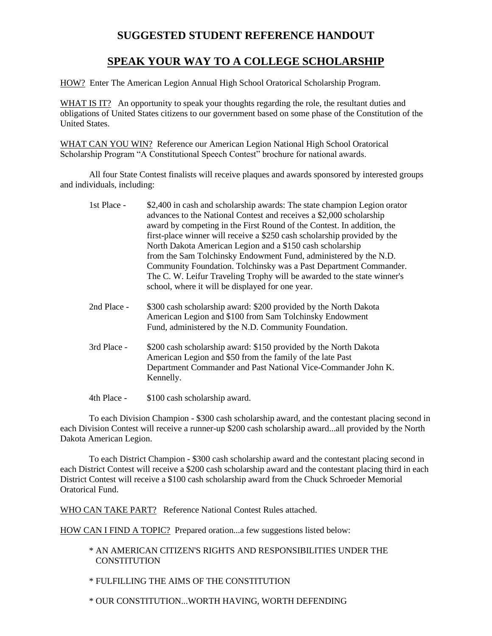# **SUGGESTED STUDENT REFERENCE HANDOUT**

# **SPEAK YOUR WAY TO A COLLEGE SCHOLARSHIP**

HOW? Enter The American Legion Annual High School Oratorical Scholarship Program.

WHAT IS IT? An opportunity to speak your thoughts regarding the role, the resultant duties and obligations of United States citizens to our government based on some phase of the Constitution of the United States.

WHAT CAN YOU WIN? Reference our American Legion National High School Oratorical Scholarship Program "A Constitutional Speech Contest" brochure for national awards.

All four State Contest finalists will receive plaques and awards sponsored by interested groups and individuals, including:

| 1st Place - | \$2,400 in cash and scholarship awards: The state champion Legion orator<br>advances to the National Contest and receives a \$2,000 scholarship<br>award by competing in the First Round of the Contest. In addition, the<br>first-place winner will receive a \$250 cash scholarship provided by the<br>North Dakota American Legion and a \$150 cash scholarship<br>from the Sam Tolchinsky Endowment Fund, administered by the N.D.<br>Community Foundation. Tolchinsky was a Past Department Commander.<br>The C. W. Leifur Traveling Trophy will be awarded to the state winner's<br>school, where it will be displayed for one year. |
|-------------|--------------------------------------------------------------------------------------------------------------------------------------------------------------------------------------------------------------------------------------------------------------------------------------------------------------------------------------------------------------------------------------------------------------------------------------------------------------------------------------------------------------------------------------------------------------------------------------------------------------------------------------------|
| 2nd Place - | \$300 cash scholarship award: \$200 provided by the North Dakota<br>American Legion and \$100 from Sam Tolchinsky Endowment<br>Fund, administered by the N.D. Community Foundation.                                                                                                                                                                                                                                                                                                                                                                                                                                                        |

3rd Place - \$200 cash scholarship award: \$150 provided by the North Dakota American Legion and \$50 from the family of the late Past Department Commander and Past National Vice-Commander John K. Kennelly.

4th Place - \$100 cash scholarship award.

To each Division Champion - \$300 cash scholarship award, and the contestant placing second in each Division Contest will receive a runner-up \$200 cash scholarship award...all provided by the North Dakota American Legion.

To each District Champion - \$300 cash scholarship award and the contestant placing second in each District Contest will receive a \$200 cash scholarship award and the contestant placing third in each District Contest will receive a \$100 cash scholarship award from the Chuck Schroeder Memorial Oratorical Fund.

WHO CAN TAKE PART? Reference National Contest Rules attached.

HOW CAN I FIND A TOPIC? Prepared oration...a few suggestions listed below:

\* AN AMERICAN CITIZEN'S RIGHTS AND RESPONSIBILITIES UNDER THE **CONSTITUTION** 

\* FULFILLING THE AIMS OF THE CONSTITUTION

\* OUR CONSTITUTION...WORTH HAVING, WORTH DEFENDING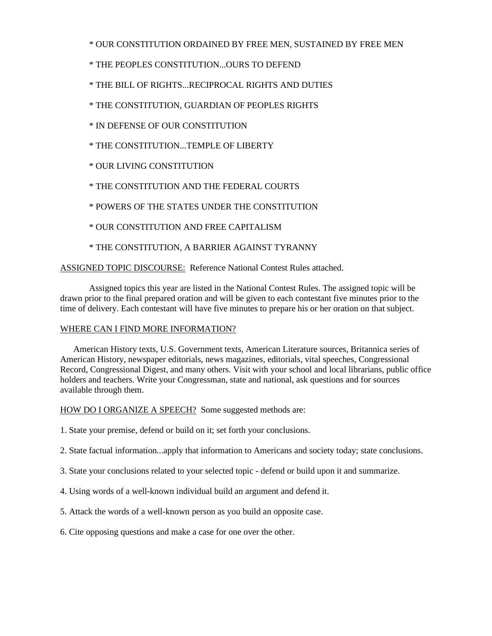## \* OUR CONSTITUTION ORDAINED BY FREE MEN, SUSTAINED BY FREE MEN

- \* THE PEOPLES CONSTITUTION...OURS TO DEFEND
- \* THE BILL OF RIGHTS...RECIPROCAL RIGHTS AND DUTIES
- \* THE CONSTITUTION, GUARDIAN OF PEOPLES RIGHTS
- \* IN DEFENSE OF OUR CONSTITUTION
- \* THE CONSTITUTION...TEMPLE OF LIBERTY
- \* OUR LIVING CONSTITUTION
- \* THE CONSTITUTION AND THE FEDERAL COURTS
- \* POWERS OF THE STATES UNDER THE CONSTITUTION
- \* OUR CONSTITUTION AND FREE CAPITALISM
- \* THE CONSTITUTION, A BARRIER AGAINST TYRANNY

ASSIGNED TOPIC DISCOURSE: Reference National Contest Rules attached.

Assigned topics this year are listed in the National Contest Rules. The assigned topic will be drawn prior to the final prepared oration and will be given to each contestant five minutes prior to the time of delivery. Each contestant will have five minutes to prepare his or her oration on that subject.

### WHERE CAN I FIND MORE INFORMATION?

 American History texts, U.S. Government texts, American Literature sources, Britannica series of American History, newspaper editorials, news magazines, editorials, vital speeches, Congressional Record, Congressional Digest, and many others. Visit with your school and local librarians, public office holders and teachers. Write your Congressman, state and national, ask questions and for sources available through them.

HOW DO I ORGANIZE A SPEECH? Some suggested methods are:

- 1. State your premise, defend or build on it; set forth your conclusions.
- 2. State factual information...apply that information to Americans and society today; state conclusions.
- 3. State your conclusions related to your selected topic defend or build upon it and summarize.
- 4. Using words of a well-known individual build an argument and defend it.
- 5. Attack the words of a well-known person as you build an opposite case.
- 6. Cite opposing questions and make a case for one over the other.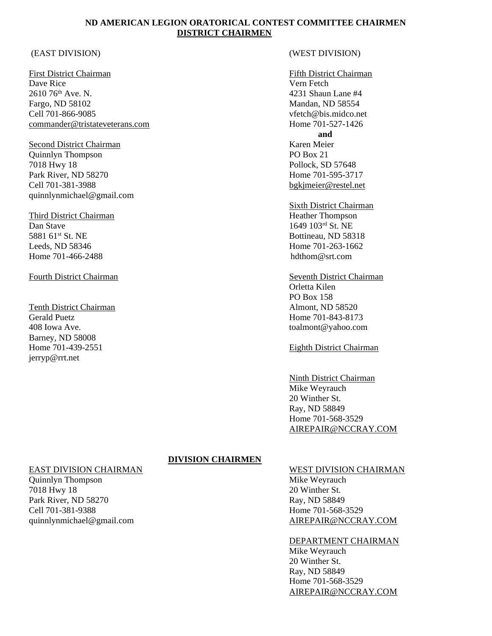### **ND AMERICAN LEGION ORATORICAL CONTEST COMMITTEE CHAIRMEN DISTRICT CHAIRMEN**

Dave Rice Vern Fetch 2610 76th Ave. N. 4231 Shaun Lane #4 Fargo, ND 58102 Mandan, ND 58554 Cell 701-866-9085 vfetch@bis.midco.net [commander@tristateveterans.com](mailto:commander@tristateveterans.com) Home 701-527-1426

Second District Chairman Karen Meier Quinnlyn Thompson PO Box 21 7018 Hwy 18 Pollock, SD 57648 Park River, ND 58270 Home 701-595-3717 Cell 701-381-3988 [bgkjmeier@restel.net](mailto:bgkjmeier@restel.net) quinnlynmichael@gmail.com

Third District Chairman **Heather Thompson** Heather Thompson Dan Stave 1649 103<sup>rd</sup> St. NE 5881 61<sup>st</sup> St. NE Bottineau, ND 58318 Leeds, ND 58346 Home 701-263-1662 Home 701-466-2488 hdthom@srt.com

Tenth District Chairman Almont, ND 58520 Gerald Puetz **Home 701-843-8173** 408 Iowa Ave. toalmont@yahoo.com Barney, ND 58008 Home 701-439-2551 Eighth District Chairman jerryp@rrt.net

#### (EAST DIVISION) (WEST DIVISION)

#### First District Chairman Fifth District Chairman Fifth District Chairman

**and**

Sixth District Chairman

Fourth District Chairman Seventh District Chairman Orletta Kilen PO Box 158

#### Ninth District Chairman Mike Weyrauch 20 Winther St. Ray, ND 58849 Home 701-568-3529 [AIREPAIR@NCCRAY.COM](mailto:AIREPAIR@NCCRAY.COM)

### **DIVISION CHAIRMEN**

EAST DIVISION CHAIRMAN WEST DIVISION CHAIRMAN Quinnlyn Thompson **Mike Weyrauch** 7018 Hwy 18 20 Winther St. Park River, ND 58270 Ray, ND 58849 Cell 701-381-9388 Home 701-568-3529 quinnlynmichael@gmail.com [AIREPAIR@NCCRAY.COM](mailto:AIREPAIR@NCCRAY.COM)

DEPARTMENT CHAIRMAN Mike Weyrauch 20 Winther St. Ray, ND 58849 Home 701-568-3529 [AIREPAIR@NCCRAY.COM](mailto:AIREPAIR@NCCRAY.COM)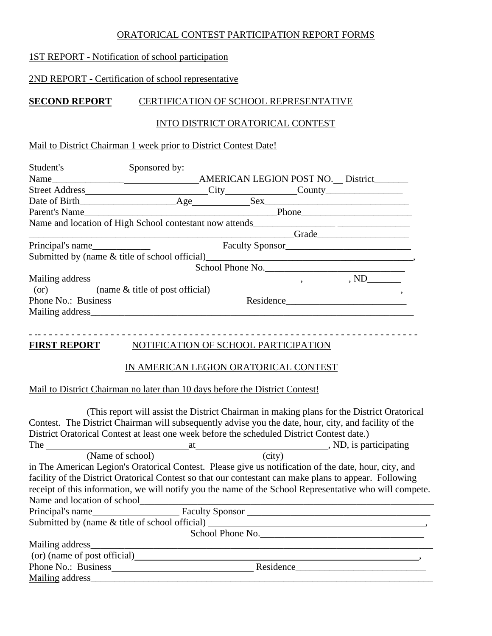# ORATORICAL CONTEST PARTICIPATION REPORT FORMS

# 1ST REPORT - Notification of school participation

# 2ND REPORT - Certification of school representative

# **SECOND REPORT** CERTIFICATION OF SCHOOL REPRESENTATIVE

# INTO DISTRICT ORATORICAL CONTEST

# Mail to District Chairman 1 week prior to District Contest Date!

| Student's     | Sponsored by:                                                                                                                                                                                                                  |       |  |                  |  |  |
|---------------|--------------------------------------------------------------------------------------------------------------------------------------------------------------------------------------------------------------------------------|-------|--|------------------|--|--|
|               | AMERICAN LEGION POST NO. District_____                                                                                                                                                                                         |       |  |                  |  |  |
|               | Street Address City County County                                                                                                                                                                                              |       |  |                  |  |  |
|               |                                                                                                                                                                                                                                |       |  |                  |  |  |
| Parent's Name |                                                                                                                                                                                                                                | Phone |  |                  |  |  |
|               | Name and location of High School contestant now attends                                                                                                                                                                        |       |  |                  |  |  |
|               |                                                                                                                                                                                                                                |       |  | Grade            |  |  |
|               |                                                                                                                                                                                                                                |       |  |                  |  |  |
|               | Submitted by (name & title of school official)                                                                                                                                                                                 |       |  |                  |  |  |
|               |                                                                                                                                                                                                                                |       |  | School Phone No. |  |  |
|               |                                                                                                                                                                                                                                |       |  |                  |  |  |
|               | (or) (name & title of post official)                                                                                                                                                                                           |       |  |                  |  |  |
|               |                                                                                                                                                                                                                                |       |  |                  |  |  |
|               | Mailing address and the mail of the mail of the mail of the mail of the mail of the mail of the mail of the mail of the mail of the mail of the mail of the mail of the mail of the mail of the mail of the mail of the mail o |       |  |                  |  |  |
|               |                                                                                                                                                                                                                                |       |  |                  |  |  |

# **FIRST REPORT** NOTIFICATION OF SCHOOL PARTICIPATION

# IN AMERICAN LEGION ORATORICAL CONTEST

- -- - - - - - - - - - - - - - - - - - - - - - - - - - - - - - - - - - - - - - - - - - - - - - - - - - - - - - - - - - - - - - - - - - - -

# Mail to District Chairman no later than 10 days before the District Contest!

(This report will assist the District Chairman in making plans for the District Oratorical Contest. The District Chairman will subsequently advise you the date, hour, city, and facility of the District Oratorical Contest at least one week before the scheduled District Contest date.) The at , ND, is participating (Name of school) (city) in The American Legion's Oratorical Contest. Please give us notification of the date, hour, city, and facility of the District Oratorical Contest so that our contestant can make plans to appear. Following receipt of this information, we will notify you the name of the School Representative who will compete. Name and location of school\_\_\_\_\_\_\_\_\_\_\_\_\_\_\_\_\_\_\_\_\_\_\_\_\_\_\_\_\_\_\_\_\_\_\_\_\_\_\_\_\_\_\_\_\_\_\_\_\_\_\_\_\_\_\_\_\_\_\_\_\_ Principal's name Faculty Sponsor \_\_\_\_\_\_\_\_\_\_\_\_\_\_\_\_\_\_\_\_\_\_\_\_\_\_\_\_\_\_\_\_\_\_\_\_\_\_ Submitted by (name  $\&$  title of school official) School Phone No.  $M_{\rm eff}$  and  $M_{\rm eff}$  and  $M_{\rm eff}$  and  $M_{\rm eff}$  are  $M_{\rm eff}$  and  $M_{\rm eff}$  and  $M_{\rm eff}$ (or) (name of post official) Phone No.: Business Residence\_\_\_\_\_\_\_\_\_\_\_\_\_\_\_\_\_\_\_\_\_\_\_\_\_\_\_ Mailing address\_\_\_\_\_\_\_\_\_\_\_\_\_\_\_\_\_\_\_\_\_\_\_\_\_\_\_\_\_\_\_\_\_\_\_\_\_\_\_\_\_\_\_\_\_\_\_\_\_\_\_\_\_\_\_\_\_\_\_\_\_\_\_\_\_\_\_\_\_\_\_